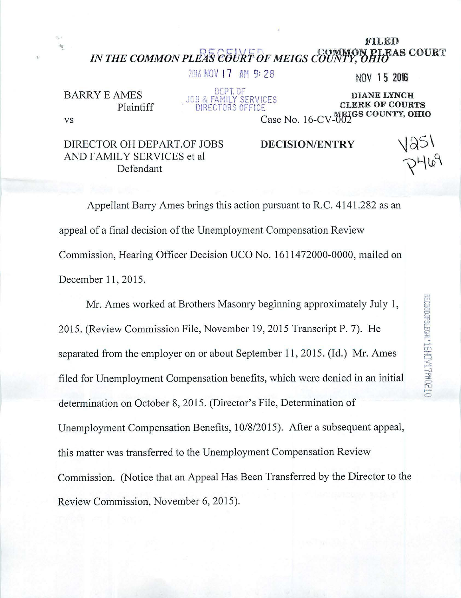## FILED IN THE COMMON PLEAS COURT OF MEIGS COUNTY, OHIO SOURT

2016 NOV 17 AM 9:28 NOV 15 2016

DEP T. or- BARRYEAMES

vs

VILLES<br>Plaintiff DIRECTORS OFFICE **DIRECTORS CLERK OF COURTS DIANE LYNCH<br>CLERK OF COURTS** Case No. 16-CV-007 SCOUNTY, OHIO

DIRECTOR OH DEPART.OF JOBS AND FAMILY SERVICES et al. Defendant

DECISION/ENTRY

PHL9<br>PHL9

Appellant Barry Ames brings this action pursuant to R.C. 4141.282 as an appeal of a final decision of the Unemployment Compensation Review Commission, Hearing Officer Decision UCO No. 1611472000-0000, mailed on December 11, 2015.

Mr. Ames worked at Brothers Masonry beginning approximately July I, 2015. (Review Commission File, November 19,2015 Transcript P. 7). He separated from the employer on or about September 11, 2015. (Id.) Mr. Ames filed for Unemployment Compensation benefits, which were denied in an initial determination on October 8, 2015. (Director's File, Determination of Unemployment Compensation Benefits, 10/8/2015). After a subsequent appeal, this matter was transferred to the Unemployment Compensation Review Commission. (Notice that an Appeal Has Been Transferred by the Director to the Review Commission, November 6, 2015).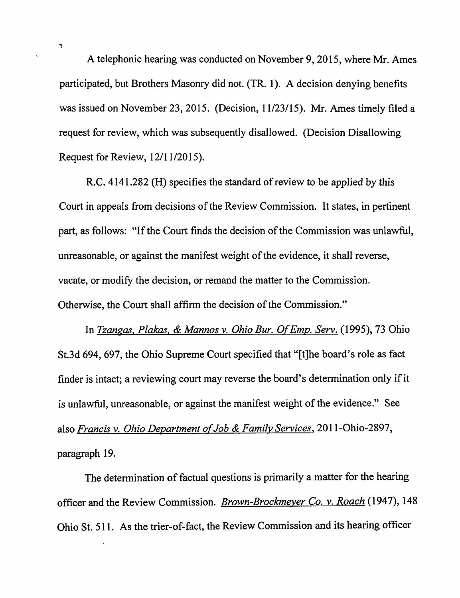A telephonic hearing was conducted on November 9, 2015, where Mr. Ames participated, but Brothers Masonry did not. (TR. 1). A decision denying benefits was issued on November 23, 2015. (Decision, 11/23/15). Mr. Ames timely filed a request for review, which was subsequently disallowed. (Decision Disallowing Request for Review, 12/11/2015).

 $\mathbf{\dot{y}}$ 

R.C. 4141.282 (H) specifies the standard of review to be applied by this Court in appeals from decisions of the Review Commission. It states, in pertinent part, as follows: "If the Court finds the decision of the Commission was unlawful, unreasonable, or against the manifest weight of the evidence, it shall reverse, vacate, or modify the decision, or remand the matter to the Commission. Otherwise, the Court shall affirm the decision of the Commission."

In *Tzangas, Plakas, & Mannos v. Ohio Bur. Of Emp. Serv.* (1995), 73 Ohio St.3d 694, 697, the Ohio Supreme Court specified that "[t]he board's role as fact finder is intact; a reviewing court may reverse the board's determination only if it is unlawful, unreasonable, or against the manifest weight of the evidence." See also *Francis* v. *Ohio Department of Job* & *Family Services,* 20 11-0hio-2897, paragraph 19.

The determination of factual questions is primarily a matter for the hearing officer and the Review Commission. *Brown-Brockmeyer Co.* v. *Roach* (1947), 148 Ohio St. 511. As the trier-of-fact, the Review Commission and its hearing officer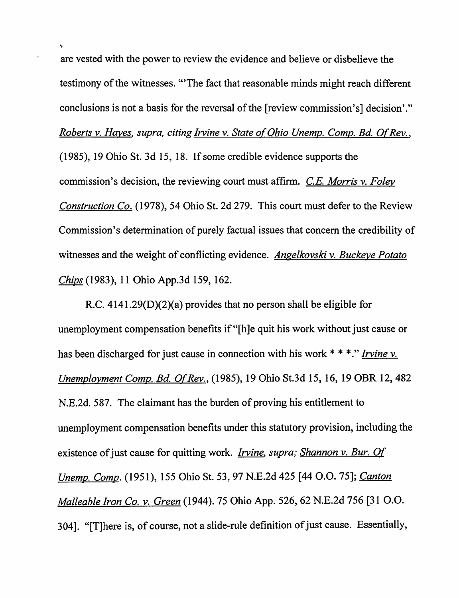are vested with the power to review the evidence and believe or disbelieve the testimony of the witnesses. "'The fact that reasonable minds might reach different conclusions is not a basis for the reversal of the [review commission's] decision'." *Roberts v. Hayes, supra, citing Irvine v. State of Ohio Unemp. Comp. Bd. Of Rev.,* (1985), 19 Ohio St. 3d 15, 18. If some credible evidence supports the commission's decision, the reviewing court must affinn. *C.E. Morris* v. *Foley Construction Co.* (1978), 54 Ohio St. 2d 279. This court must defer to the Review Commission's determination of purely factual issues that concern the credibility of witnesses and the weight of conflicting evidence. *Angelkovski* v. *Buckeye Potato Chips* (1983), 11 Ohio App.3d 159, 162.

R.C. 4141.29(D)(2)(a) provides that no person shall be eligible for unemployment compensation benefits if "[h]e quit his work without just cause or has been discharged for just cause in connection with his work \* \* \*." *Irvine* v. *Unemployment Compo Rd. Of Rev.* , (1985), 19 Ohio St.3d 15, 16, 19 OBR 12,482 N.E.2d.587. The claimant has the burden of proving his entitlement to unemployment compensation benefits under this statutory provision, including the existence of just cause for quitting work. *Irvine, supra; Shannon* v. *Bur. Of Unemp. Comp.* (1951), 155 Ohio St. 53, 97 N.E.2d 425 [44 O.O. 75]; *Canton Malleable Iron Co.* v. *Green* (1944). 75 Ohio App. 526, 62 N.E.2d 756 [31 0.0. 304]. "[T]here is, of course, not a slide-rule definition of just cause. Essentially,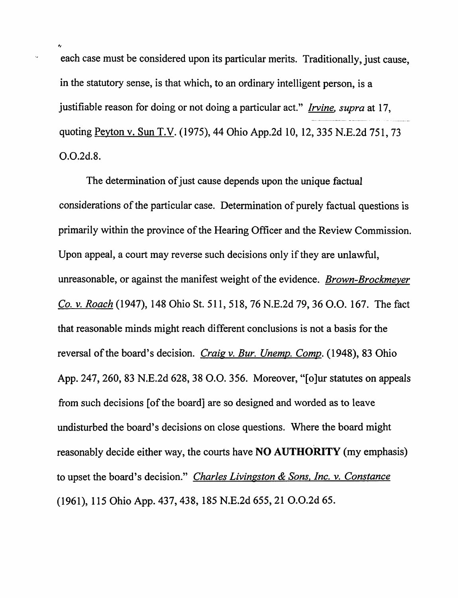each case must be considered upon its particular merits. Traditionally, just cause, in the statutory sense, is that which, to an ordinary intelligent person, is a justifiable reason for doing or not doing a particular act." *Irvine. supra* at 17, quoting Peyton v. Sun T.V. (1975),44 Ohio App.2d 10, 12, 335 N.E.2d 751, 73 0.0.2d.8.

The determination of just cause depends upon the unique factual considerations of the particular case. Determination of purely factual questions is primarily within the province of the Hearing Officer and the Review Commission. Upon appeal, a court may reverse such decisions only if they are unlawful, unreasonable, or against the manifest weight of the evidence. *Brown-Brockmeyer Co.* v. *Roach* (1947), 148 Ohio St. 511, 518, 76 N.E.2d 79, 36 0.0. 167. The fact that reasonable minds might reach different conclusions is not a basis for the reversal of the board's decision. *Craig v. Bur. Unemp. Comp.* (1948), 83 Ohio App. 247, 260, 83 N.E.2d 628, 38 0.0. 356. Moreover, "[o]ur statutes on appeals from such decisions [of the board] are so designed and worded as to leave undisturbed the board's decisions on close questions. Where the board might reasonably decide either way, the courts have **NO AUTHORITY** (my emphasis) to upset the board's decision." *Charles Livingston* & *Sons. Inc.* v. *Constance*  (1961), 115 Ohio App. 437,438, 185 N.E.2d 655,21 O.O.2d 65.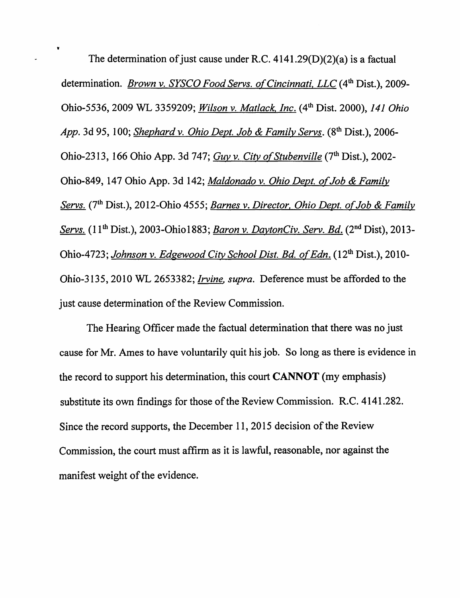• The determination of just cause under R.C. 4141.29(D)(2)(a) is a factual determination. *Brown* v. *SYSCO Food Servs. of Cincinnati. LLC* (4th Dist.), 2009- Ohio-5536, 2009 WL 3359209; *Wilson* v. *Matlack. Inc.* (4th Dist. 2000), 141 *Ohio App.* 3d 95, 100; *Shephard* v. *Ohio Dept. Job* & *Family Servs.* (8th Dist.), 2006- Ohio-2313, 166 Ohio App. 3d 747; *Guy* v. *City of Stub en ville* (7th Dist.), 2002- Ohio-849, 147 Ohio App. 3d 142; *Maldonado* v. *Ohio Dept. of Job* & *Family Servs.* (7th Dist.), 20 12-0hio 4555; *Barnes* v. *Director. Ohio Dept. of Job* & *Familv Servs.* (11<sup>th</sup> Dist.), 2003-Ohio1883; *Baron v. DaytonCiv. Serv. Bd.* (2<sup>nd</sup> Dist), 2013-Ohio-4 723; *Johnson* v. *Edgewood City School Dist. Bd. ofEdn.* (12th Dist.), 2010- Ohio-3I35, 2010 WL 2653382; *Irvine. supra.* Deference must be afforded to the just cause determination of the Review Commission.

The Hearing Officer made the factual determination that there was no just cause for Mr. Ames to have voluntarily quit his job. So long as there is evidence in the record to support his determination, this court **CANNOT** (my emphasis) substitute its own findings for those of the Review Commission. R.C.4141.282. Since the record supports, the December 11, 2015 decision of the Review Commission, the court must affirm as it is lawful, reasonable, nor against the manifest weight of the evidence.